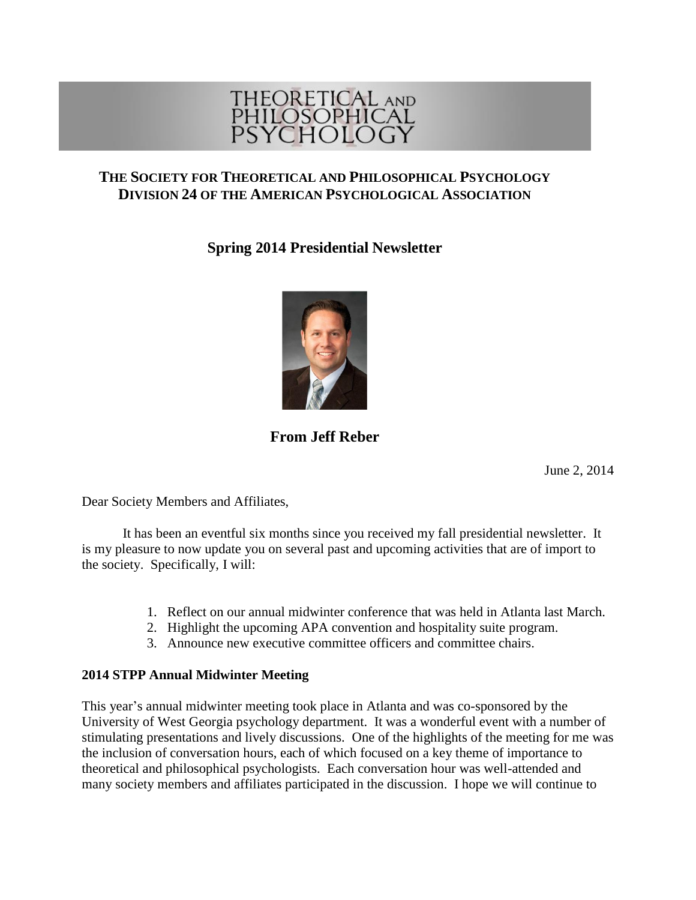

# **THE SOCIETY FOR THEORETICAL AND PHILOSOPHICAL PSYCHOLOGY DIVISION 24 OF THE AMERICAN PSYCHOLOGICAL ASSOCIATION**

**Spring 2014 Presidential Newsletter**



# **From Jeff Reber**

June 2, 2014

Dear Society Members and Affiliates,

It has been an eventful six months since you received my fall presidential newsletter. It is my pleasure to now update you on several past and upcoming activities that are of import to the society. Specifically, I will:

- 1. Reflect on our annual midwinter conference that was held in Atlanta last March.
- 2. Highlight the upcoming APA convention and hospitality suite program.
- 3. Announce new executive committee officers and committee chairs.

## **2014 STPP Annual Midwinter Meeting**

This year's annual midwinter meeting took place in Atlanta and was co-sponsored by the University of West Georgia psychology department. It was a wonderful event with a number of stimulating presentations and lively discussions. One of the highlights of the meeting for me was the inclusion of conversation hours, each of which focused on a key theme of importance to theoretical and philosophical psychologists. Each conversation hour was well-attended and many society members and affiliates participated in the discussion. I hope we will continue to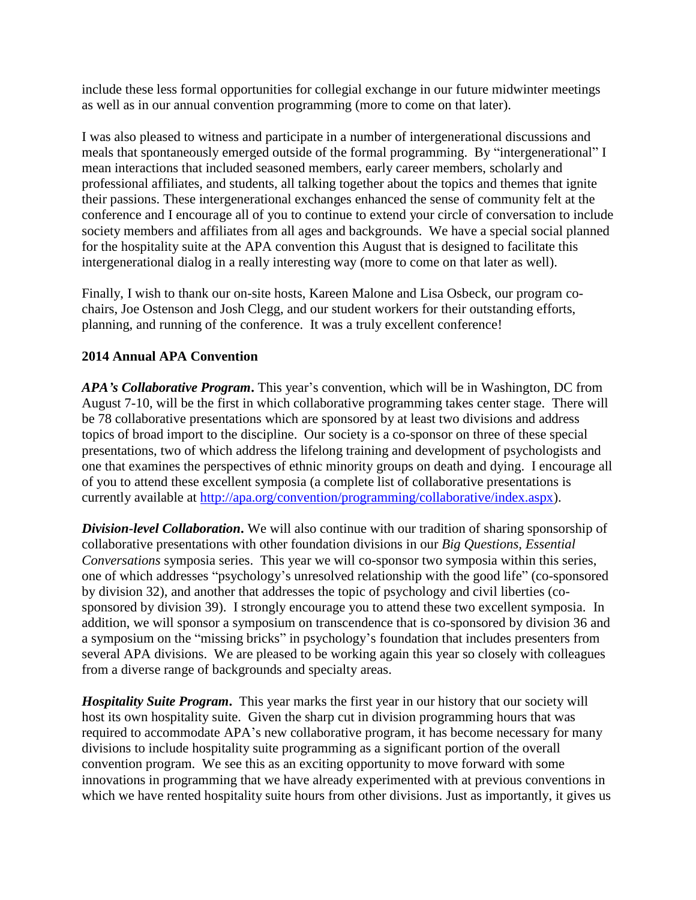include these less formal opportunities for collegial exchange in our future midwinter meetings as well as in our annual convention programming (more to come on that later).

I was also pleased to witness and participate in a number of intergenerational discussions and meals that spontaneously emerged outside of the formal programming. By "intergenerational" I mean interactions that included seasoned members, early career members, scholarly and professional affiliates, and students, all talking together about the topics and themes that ignite their passions. These intergenerational exchanges enhanced the sense of community felt at the conference and I encourage all of you to continue to extend your circle of conversation to include society members and affiliates from all ages and backgrounds. We have a special social planned for the hospitality suite at the APA convention this August that is designed to facilitate this intergenerational dialog in a really interesting way (more to come on that later as well).

Finally, I wish to thank our on-site hosts, Kareen Malone and Lisa Osbeck, our program cochairs, Joe Ostenson and Josh Clegg, and our student workers for their outstanding efforts, planning, and running of the conference. It was a truly excellent conference!

## **2014 Annual APA Convention**

*APA's Collaborative Program***.** This year's convention, which will be in Washington, DC from August 7-10, will be the first in which collaborative programming takes center stage. There will be 78 collaborative presentations which are sponsored by at least two divisions and address topics of broad import to the discipline. Our society is a co-sponsor on three of these special presentations, two of which address the lifelong training and development of psychologists and one that examines the perspectives of ethnic minority groups on death and dying. I encourage all of you to attend these excellent symposia (a complete list of collaborative presentations is currently available at [http://apa.org/convention/programming/collaborative/index.aspx\)](http://apa.org/convention/programming/collaborative/index.aspx).

*Division-level Collaboration***.** We will also continue with our tradition of sharing sponsorship of collaborative presentations with other foundation divisions in our *Big Questions, Essential Conversations* symposia series. This year we will co-sponsor two symposia within this series, one of which addresses "psychology's unresolved relationship with the good life" (co-sponsored by division 32), and another that addresses the topic of psychology and civil liberties (cosponsored by division 39). I strongly encourage you to attend these two excellent symposia. In addition, we will sponsor a symposium on transcendence that is co-sponsored by division 36 and a symposium on the "missing bricks" in psychology's foundation that includes presenters from several APA divisions. We are pleased to be working again this year so closely with colleagues from a diverse range of backgrounds and specialty areas.

*Hospitality Suite Program***.** This year marks the first year in our history that our society will host its own hospitality suite. Given the sharp cut in division programming hours that was required to accommodate APA's new collaborative program, it has become necessary for many divisions to include hospitality suite programming as a significant portion of the overall convention program. We see this as an exciting opportunity to move forward with some innovations in programming that we have already experimented with at previous conventions in which we have rented hospitality suite hours from other divisions. Just as importantly, it gives us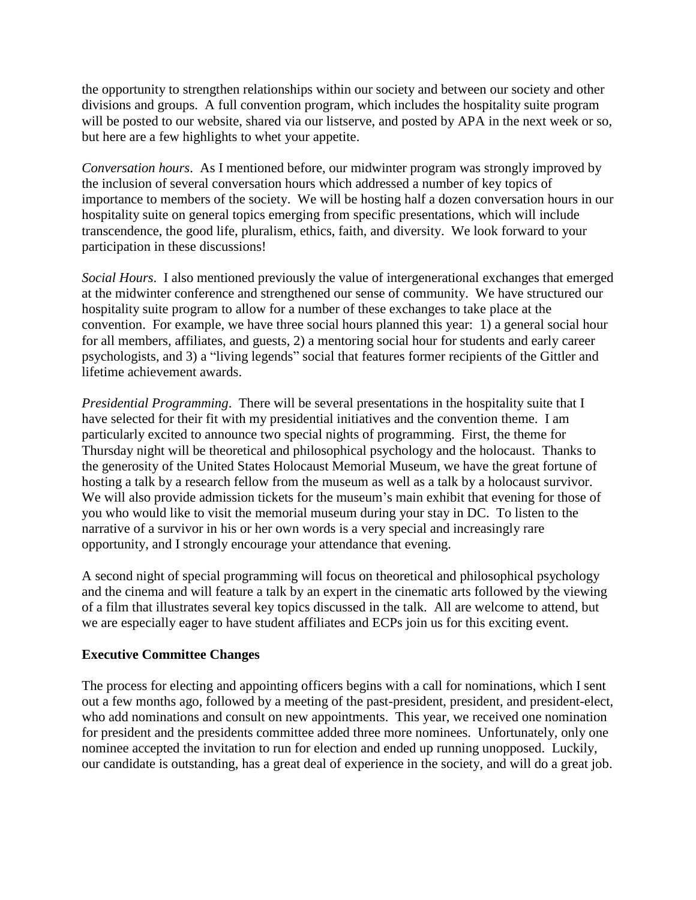the opportunity to strengthen relationships within our society and between our society and other divisions and groups. A full convention program, which includes the hospitality suite program will be posted to our website, shared via our listserve, and posted by APA in the next week or so, but here are a few highlights to whet your appetite.

*Conversation hours*. As I mentioned before, our midwinter program was strongly improved by the inclusion of several conversation hours which addressed a number of key topics of importance to members of the society. We will be hosting half a dozen conversation hours in our hospitality suite on general topics emerging from specific presentations, which will include transcendence, the good life, pluralism, ethics, faith, and diversity. We look forward to your participation in these discussions!

*Social Hours*. I also mentioned previously the value of intergenerational exchanges that emerged at the midwinter conference and strengthened our sense of community. We have structured our hospitality suite program to allow for a number of these exchanges to take place at the convention. For example, we have three social hours planned this year: 1) a general social hour for all members, affiliates, and guests, 2) a mentoring social hour for students and early career psychologists, and 3) a "living legends" social that features former recipients of the Gittler and lifetime achievement awards.

*Presidential Programming*. There will be several presentations in the hospitality suite that I have selected for their fit with my presidential initiatives and the convention theme. I am particularly excited to announce two special nights of programming. First, the theme for Thursday night will be theoretical and philosophical psychology and the holocaust. Thanks to the generosity of the United States Holocaust Memorial Museum, we have the great fortune of hosting a talk by a research fellow from the museum as well as a talk by a holocaust survivor. We will also provide admission tickets for the museum's main exhibit that evening for those of you who would like to visit the memorial museum during your stay in DC. To listen to the narrative of a survivor in his or her own words is a very special and increasingly rare opportunity, and I strongly encourage your attendance that evening.

A second night of special programming will focus on theoretical and philosophical psychology and the cinema and will feature a talk by an expert in the cinematic arts followed by the viewing of a film that illustrates several key topics discussed in the talk. All are welcome to attend, but we are especially eager to have student affiliates and ECPs join us for this exciting event.

#### **Executive Committee Changes**

The process for electing and appointing officers begins with a call for nominations, which I sent out a few months ago, followed by a meeting of the past-president, president, and president-elect, who add nominations and consult on new appointments. This year, we received one nomination for president and the presidents committee added three more nominees. Unfortunately, only one nominee accepted the invitation to run for election and ended up running unopposed. Luckily, our candidate is outstanding, has a great deal of experience in the society, and will do a great job.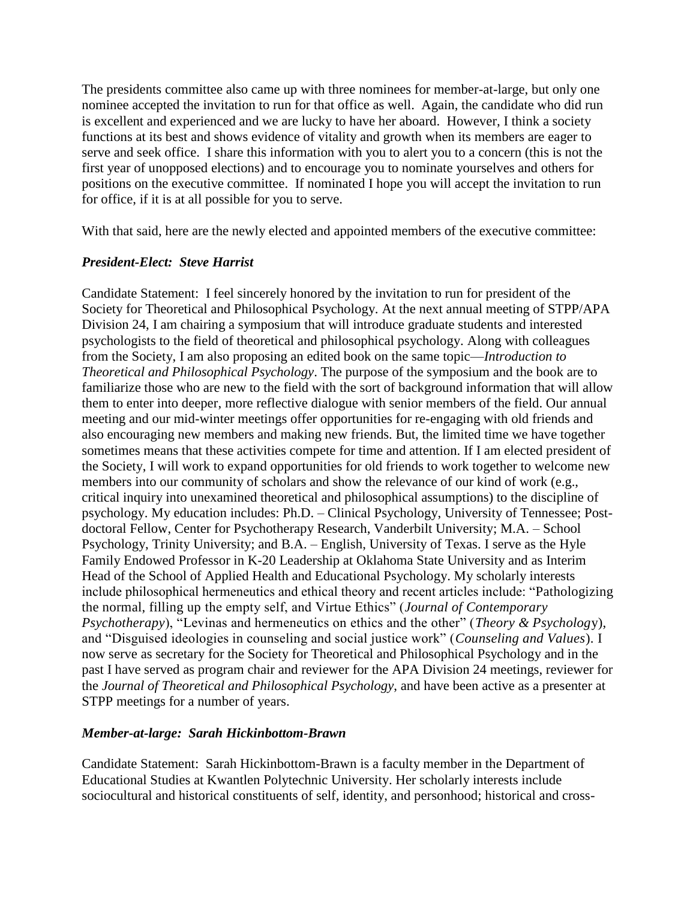The presidents committee also came up with three nominees for member-at-large, but only one nominee accepted the invitation to run for that office as well. Again, the candidate who did run is excellent and experienced and we are lucky to have her aboard. However, I think a society functions at its best and shows evidence of vitality and growth when its members are eager to serve and seek office. I share this information with you to alert you to a concern (this is not the first year of unopposed elections) and to encourage you to nominate yourselves and others for positions on the executive committee. If nominated I hope you will accept the invitation to run for office, if it is at all possible for you to serve.

With that said, here are the newly elected and appointed members of the executive committee:

## *President-Elect: Steve Harrist*

Candidate Statement: I feel sincerely honored by the invitation to run for president of the Society for Theoretical and Philosophical Psychology. At the next annual meeting of STPP/APA Division 24, I am chairing a symposium that will introduce graduate students and interested psychologists to the field of theoretical and philosophical psychology. Along with colleagues from the Society, I am also proposing an edited book on the same topic—*Introduction to Theoretical and Philosophical Psychology*. The purpose of the symposium and the book are to familiarize those who are new to the field with the sort of background information that will allow them to enter into deeper, more reflective dialogue with senior members of the field. Our annual meeting and our mid-winter meetings offer opportunities for re-engaging with old friends and also encouraging new members and making new friends. But, the limited time we have together sometimes means that these activities compete for time and attention. If I am elected president of the Society, I will work to expand opportunities for old friends to work together to welcome new members into our community of scholars and show the relevance of our kind of work (e.g., critical inquiry into unexamined theoretical and philosophical assumptions) to the discipline of psychology. My education includes: Ph.D. – Clinical Psychology, University of Tennessee; Postdoctoral Fellow, Center for Psychotherapy Research, Vanderbilt University; M.A. – School Psychology, Trinity University; and B.A. – English, University of Texas. I serve as the Hyle Family Endowed Professor in K-20 Leadership at Oklahoma State University and as Interim Head of the School of Applied Health and Educational Psychology. My scholarly interests include philosophical hermeneutics and ethical theory and recent articles include: "Pathologizing the normal, filling up the empty self, and Virtue Ethics" (*Journal of Contemporary Psychotherapy*), "Levinas and hermeneutics on ethics and the other" (*Theory & Psycholog*y), and "Disguised ideologies in counseling and social justice work" (*Counseling and Values*). I now serve as secretary for the Society for Theoretical and Philosophical Psychology and in the past I have served as program chair and reviewer for the APA Division 24 meetings, reviewer for the *Journal of Theoretical and Philosophical Psychology*, and have been active as a presenter at STPP meetings for a number of years.

## *Member-at-large: Sarah Hickinbottom-Brawn*

Candidate Statement: Sarah Hickinbottom-Brawn is a faculty member in the Department of Educational Studies at Kwantlen Polytechnic University. Her scholarly interests include sociocultural and historical constituents of self, identity, and personhood; historical and cross